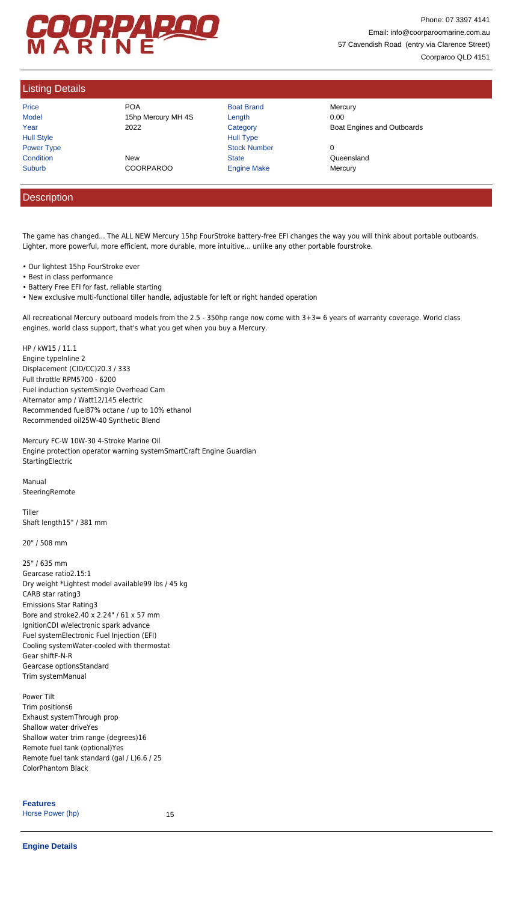## COORPAROO

Phone: 07 3397 4141 Email: info@coorparoomarine.com.au 57 Cavendish Road (entry via Clarence Street) Coorparoo QLD 4151

## Listing Details

| Price             |
|-------------------|
| Model             |
| Year              |
| <b>Hull Style</b> |
| <b>Power Type</b> |
| Condition         |
| Suburb            |

Price **Road Brand Mercury** POA **Boat Brand Mercury** 15hp Mercury MH 4S Length 15hp Mercury MH 4S 2000 Condition **New Realth Condition** Condition **Condition** Cueensland

Hull Type Power Type Stock Number 0 COORPAROO Engine Make Mercury

2022 **Category** Category **Boat Engines and Outboards Category Category Category** 

## **Description**

The game has changed... The ALL NEW Mercury 15hp FourStroke battery-free EFI changes the way you will think about portable outboards. Lighter, more powerful, more efficient, more durable, more intuitive... unlike any other portable fourstroke.

Mercury FC-W 10W-30 4-Stroke Marine Oil Engine protection operator warning systemSmartCraft Engine Guardian **StartingElectric** 

Manual **SteeringRemote** 

- Our lightest 15hp FourStroke ever
- Best in class performance
- Battery Free EFI for fast, reliable starting
- New exclusive multi-functional tiller handle, adjustable for left or right handed operation

All recreational Mercury outboard models from the 2.5 - 350hp range now come with 3+3= 6 years of warranty coverage. World class engines, world class support, that's what you get when you buy a Mercury.

| <b>Features</b>  |    |
|------------------|----|
| Horse Power (hp) | 15 |

HP / kW15 / 11.1 Engine typeInline 2 Displacement (CID/CC)20.3 / 333 Full throttle RPM5700 - 6200 Fuel induction systemSingle Overhead Cam Alternator amp / Watt12/145 electric Recommended fuel87% octane / up to 10% ethanol Recommended oil25W-40 Synthetic Blend

Tiller Shaft length15" / 381 mm

20" / 508 mm

25" / 635 mm Gearcase ratio2.15:1 Dry weight \*Lightest model available99 lbs / 45 kg CARB star rating3 Emissions Star Rating3 Bore and stroke2.40 x 2.24" / 61 x 57 mm IgnitionCDI w/electronic spark advance Fuel systemElectronic Fuel Injection (EFI) Cooling systemWater-cooled with thermostat

Gear shiftF-N-R Gearcase optionsStandard Trim systemManual

Power Tilt Trim positions6 Exhaust systemThrough prop Shallow water driveYes Shallow water trim range (degrees)16 Remote fuel tank (optional)Yes Remote fuel tank standard (gal / L)6.6 / 25 ColorPhantom Black

## **Engine Details**